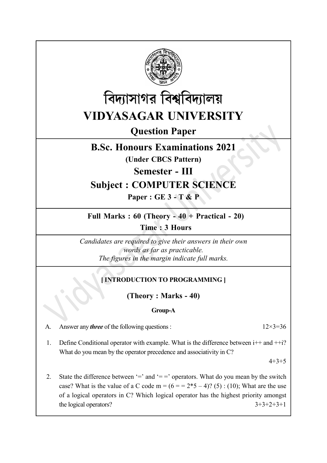



Question Paper

# B.Sc. Honours Examinations 2021

(Under CBCS Pattern)

Semester - III

# Subject : COMPUTER SCIENCE

Paper : GE 3 - T & P

Full Marks : 60 (Theory - 40 + Practical - 20)

Time : 3 Hours

Candidates are required to give their answers in their own words as far as practicable. The figures in the margin indicate full marks.

# [INTRODUCTION TO PROGRAMMING ]

(Theory : Marks - 40)

## Group-A

A. Answer any *three* of the following questions :  $12\times3=36$ 

1. Define Conditional operator with example. What is the difference between  $i++$  and  $+i$ ? What do you mean by the operator precedence and associativity in C?

 $4+3+5$ 

2. State the difference between  $=$  and  $=$  =  $\circ$  operators. What do you mean by the switch case? What is the value of a C code m =  $(6 = 2*5 - 4)$ ? (5) : (10); What are the use of a logical operators in C? Which logical operator has the highest priority amongst the logical operators?  $3+3+2+3+1$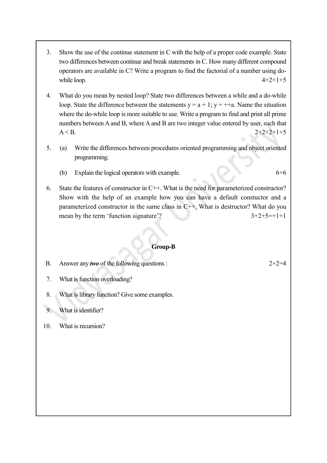- 3. Show the use of the continue statement in C with the help of a proper code example. State two differences between continue and break statements in C. How many different compound operators are available in C? Write a program to find the factorial of a number using dowhile loop.  $4+2+1+5$
- 4. What do you mean by nested loop? State two differences between a while and a do-while loop. State the difference between the statements  $y = a + 1$ ;  $y = ++a$ . Name the situation where the do-while loop is more suitable to use. Write a program to find and print all prime numbers between A and B, where A and B are two integer value entered by user, such that  $A < B$ . 2+2+2+1+5
- 5. (a) Write the differences between procedures oriented programming and object oriented programming.
	- (b) Explain the logical operators with example. 6+6
- 6. State the features of constructor in C++. What is the need for parameterized constructor? Show with the help of an example how you can have a default constuctor and a parameterized constructor in the same class in C++. What is destructor? What do you mean by the term 'function signature'?  $3+2+5=+1+1$

#### Group-B

B. Answer any *two* of the following questions :  $2 \times 2 = 4$ 

- 7. What is function overloading?
- 8. What is library function? Give some examples.
- 9. What is identifier?
- 10. What is recursion?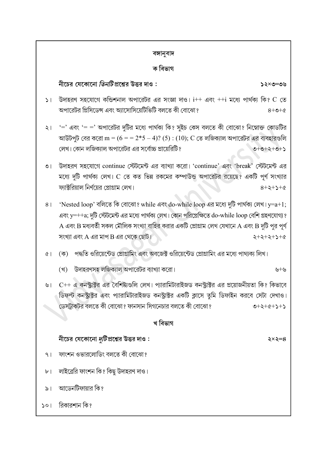### বঙ্গানুবাদ

### ক বিভাগ

নীচের যেকোনো *তিনটি* প্রশ্নের উত্তর দাও :

- $\vert$ া উদাহরণ সহযোগে কন্ডিশনাল অপারেটর এর সংজ্ঞা দাও।  $i++$  এবং  $++i$  মধ্যে পার্থক্য কি? C তে অপারেটর প্রিসিডেন্স এবং অ্যাসোসিয়েটিভিটি বলতে কী বোঝো?  $8 + 0 + 6$
- ২। '=' এবং '= =' অপারেটর দুটির মধ্যে পার্থক্য কি? সুইচ কেস বলতে কী বোঝো? নিম্নোক্ত কোডটির আউটপুট বের করো m =  $(6 = 2*5 - 4)$ ? (5) :  $(10)$ ; C তে লজিক্যাল অপারেটর এর ব্যবহারগুলি লেখ। কোন লজিকাাল অপারেটর এর সর্বোচ্চ প্রায়েরিটি?  $2+2+2+0$

৩। উদাহরণ সহযোগে continue স্টেটমেন্ট এর ব্যাখ্যা করো। 'continue' এবং 'break' স্টেটমেন্ট এর মধ্যে দুটি পার্থক্য লেখ। C তে কত ভিন্ন রকমের কম্পাউন্ড অপারেটর রয়েছে? একটি পূর্ণ সংখ্যার ফ্যাক্টরিয়াল নির্ণয়ের প্রোগ্রাম লেখ।  $8 + 2 + 2 + 6$ 

'Nested loop' বলিতে কি বোঝো? while এবং do-while loop এর মধ্যে দুটি পার্থক্য লেখ। y=a+1;  $8<sup>1</sup>$ এবং y=++a; দুটি স্টেটমেন্ট এর মধ্যে পার্থক্য লেখ। কোন পরিপ্রেক্ষিতে do-while loop বেশি গ্রহণযোগ্য ?  $\bf A$  এবং  $\bf B$  মধ্যবর্তী সকল মৌলিক সংখ্যা বাহির করার একটি প্রোগ্রাম লেখ যেখানে  $\bf A$  এবং  $\bf B$  দুটি পুর পূর্ণ A B + + + +

- (ক) পদ্ধতি ওরিয়েন্টেড প্রোগ্রামিং এবং অবজেক্ট ওরিয়েন্টেড প্রোগ্রামিং এর মধ্যে পাথ্যক্য লিখ।  $\alpha$ 
	- (খ) উদাহরণসহ লজিক্যাল অপারেটর ব্যাখ্যা করো।
- ৬। C++ এ কনস্ট্রাক্টর এর বৈশিষ্ট্যগুলি লেখ। প্যারামিটারাইজড কনস্ট্রাক্টর এর প্রয়োজনীয়তা কি? কিভাবে ডিফল্ট কনস্ট্রাক্টর এবং প্যারামিটারাইজড কনস্ট্রাক্টর একটি ক্লাসে তুমি ডিফাইন করবে সেটা দেখাও। ডেসটাকটর বলতে কী বোঝো? ফানসান সিগনেচার বলতে কী বোঝো?  $2+2+2+3$

### খ বিভাগ

## নীচের যেকোনো *দুটি* প্রশ্নের উত্তর দাও $\,$  :

- ফাংশন ওভারলোডিং বলতে কী বোঝো?  $9<sub>1</sub>$
- লাইব্রেরি ফাংশন কি? কিছু উদাহরণ দাও।  $\mathbf{b}$
- আডেনটিফায়ার কি?  $\geqslant$
- রিকারশান কি?  $501$

 $\xi \times \xi = 8$ 

 $2 \times 9 = 0$ ৬

 $y+y$